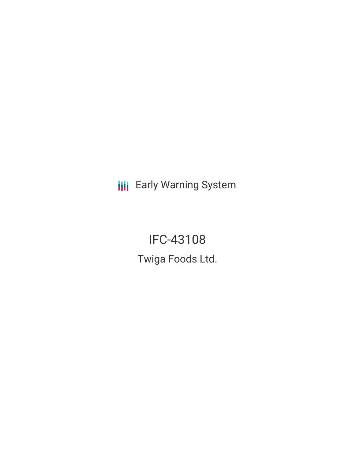**III** Early Warning System

IFC-43108 Twiga Foods Ltd.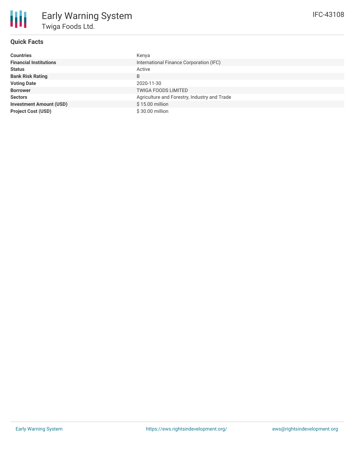

# **Quick Facts**

| <b>Countries</b>               | Kenya                                        |
|--------------------------------|----------------------------------------------|
| <b>Financial Institutions</b>  | International Finance Corporation (IFC)      |
| <b>Status</b>                  | Active                                       |
| <b>Bank Risk Rating</b>        | B                                            |
| <b>Voting Date</b>             | 2020-11-30                                   |
| <b>Borrower</b>                | <b>TWIGA FOODS LIMITED</b>                   |
| <b>Sectors</b>                 | Agriculture and Forestry, Industry and Trade |
| <b>Investment Amount (USD)</b> | \$15.00 million                              |
| <b>Project Cost (USD)</b>      | \$30.00 million                              |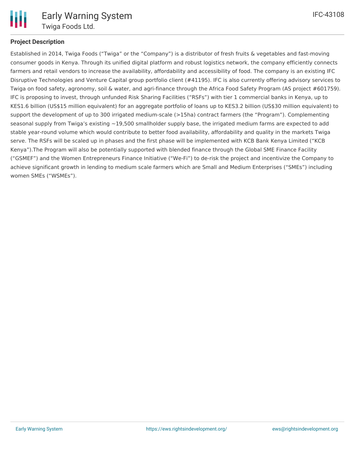

# **Project Description**

Established in 2014, Twiga Foods ("Twiga" or the "Company") is a distributor of fresh fruits & vegetables and fast-moving consumer goods in Kenya. Through its unified digital platform and robust logistics network, the company efficiently connects farmers and retail vendors to increase the availability, affordability and accessibility of food. The company is an existing IFC Disruptive Technologies and Venture Capital group portfolio client (#41195). IFC is also currently offering advisory services to Twiga on food safety, agronomy, soil & water, and agri-finance through the Africa Food Safety Program (AS project #601759). IFC is proposing to invest, through unfunded Risk Sharing Facilities ("RSFs") with tier 1 commercial banks in Kenya, up to KES1.6 billion (US\$15 million equivalent) for an aggregate portfolio of loans up to KES3.2 billion (US\$30 million equivalent) to support the development of up to 300 irrigated medium-scale (>15ha) contract farmers (the "Program"). Complementing seasonal supply from Twiga's existing  $\sim$ 19,500 smallholder supply base, the irrigated medium farms are expected to add stable year-round volume which would contribute to better food availability, affordability and quality in the markets Twiga serve. The RSFs will be scaled up in phases and the first phase will be implemented with KCB Bank Kenya Limited ("KCB Kenya").The Program will also be potentially supported with blended finance through the Global SME Finance Facility ("GSMEF") and the Women Entrepreneurs Finance Initiative ("We-Fi") to de-risk the project and incentivize the Company to achieve significant growth in lending to medium scale farmers which are Small and Medium Enterprises ("SMEs") including women SMEs ("WSMEs").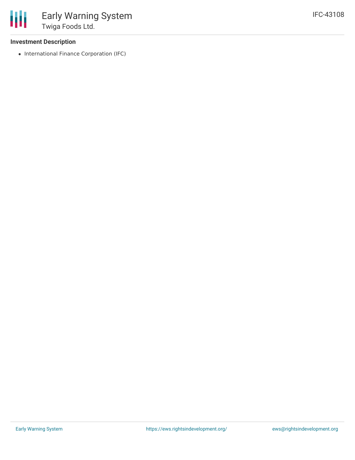

### **Investment Description**

• International Finance Corporation (IFC)